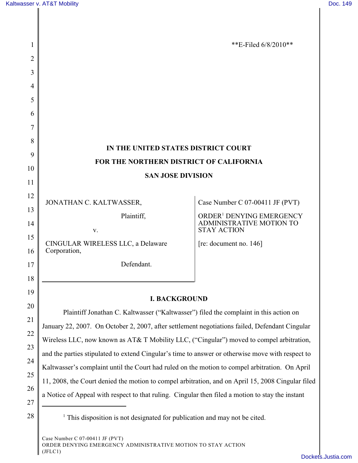| 1              |                                                                                                                                                                                                       | **E-Filed $6/8/2010**$                                           |
|----------------|-------------------------------------------------------------------------------------------------------------------------------------------------------------------------------------------------------|------------------------------------------------------------------|
| 2              |                                                                                                                                                                                                       |                                                                  |
| 3              |                                                                                                                                                                                                       |                                                                  |
| $\overline{4}$ |                                                                                                                                                                                                       |                                                                  |
| 5              |                                                                                                                                                                                                       |                                                                  |
| 6              |                                                                                                                                                                                                       |                                                                  |
| 7              |                                                                                                                                                                                                       |                                                                  |
| 8              | IN THE UNITED STATES DISTRICT COURT                                                                                                                                                                   |                                                                  |
| 9              | FOR THE NORTHERN DISTRICT OF CALIFORNIA                                                                                                                                                               |                                                                  |
| 10             | <b>SAN JOSE DIVISION</b>                                                                                                                                                                              |                                                                  |
| 11             |                                                                                                                                                                                                       |                                                                  |
| 12             | JONATHAN C. KALTWASSER,                                                                                                                                                                               | Case Number C 07-00411 JF (PVT)                                  |
| 13             | Plaintiff,                                                                                                                                                                                            | ORDER <sup>1</sup> DENYING EMERGENCY<br>ADMINISTRATIVE MOTION TO |
| 14<br>15       | V.                                                                                                                                                                                                    | <b>STAY ACTION</b>                                               |
| 16             | CINGULAR WIRELESS LLC, a Delaware<br>Corporation,                                                                                                                                                     | [re: document no. 146]                                           |
| 17             | Defendant.                                                                                                                                                                                            |                                                                  |
| 18             |                                                                                                                                                                                                       |                                                                  |
| 19             |                                                                                                                                                                                                       |                                                                  |
| 20             | <b>I. BACKGROUND</b>                                                                                                                                                                                  |                                                                  |
| 21             | Plaintiff Jonathan C. Kaltwasser ("Kaltwasser") filed the complaint in this action on                                                                                                                 |                                                                  |
| 22             | January 22, 2007. On October 2, 2007, after settlement negotiations failed, Defendant Cingular                                                                                                        |                                                                  |
| 23             | Wireless LLC, now known as AT& T Mobility LLC, ("Cingular") moved to compel arbitration,                                                                                                              |                                                                  |
| 24             | and the parties stipulated to extend Cingular's time to answer or otherwise move with respect to                                                                                                      |                                                                  |
| 25             | Kaltwasser's complaint until the Court had ruled on the motion to compel arbitration. On April                                                                                                        |                                                                  |
| 26             | 11, 2008, the Court denied the motion to compel arbitration, and on April 15, 2008 Cingular filed<br>a Notice of Appeal with respect to that ruling. Cingular then filed a motion to stay the instant |                                                                  |
| 27             |                                                                                                                                                                                                       |                                                                  |
| 28             | <sup>1</sup> This disposition is not designated for publication and may not be cited.                                                                                                                 |                                                                  |
|                |                                                                                                                                                                                                       |                                                                  |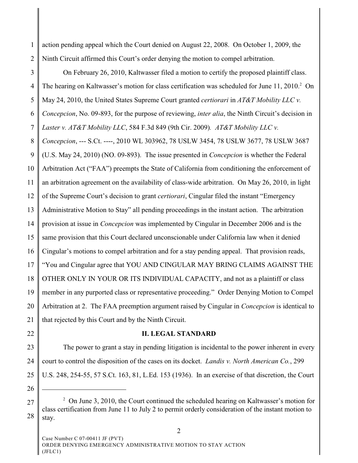1 2 action pending appeal which the Court denied on August 22, 2008. On October 1, 2009, the Ninth Circuit affirmed this Court's order denying the motion to compel arbitration.

3 4 5 6 7 8 9 10 11 12 13 14 15 16 17 18 19 20 21 On February 26, 2010, Kaltwasser filed a motion to certify the proposed plaintiff class. The hearing on Kaltwasser's motion for class certification was scheduled for June 11, 2010.<sup>2</sup> On May 24, 2010, the United States Supreme Court granted *certiorari* in *AT&T Mobility LLC v. Concepcion*, No. 09-893, for the purpose of reviewing, *inter alia*, the Ninth Circuit's decision in *Laster v. AT&T Mobility LLC*, 584 F.3d 849 (9th Cir. 2009)*. AT&T Mobility LLC v. Concepcion*, --- S.Ct. ----, 2010 WL 303962, 78 USLW 3454, 78 USLW 3677, 78 USLW 3687 (U.S. May 24, 2010) (NO. 09-893). The issue presented in *Concepcion* is whether the Federal Arbitration Act ("FAA") preempts the State of California from conditioning the enforcement of an arbitration agreement on the availability of class-wide arbitration. On May 26, 2010, in light of the Supreme Court's decision to grant *certiorari*, Cingular filed the instant "Emergency Administrative Motion to Stay" all pending proceedings in the instant action. The arbitration provision at issue in *Concepcion* was implemented by Cingular in December 2006 and is the same provision that this Court declared unconscionable under California law when it denied Cingular's motions to compel arbitration and for a stay pending appeal. That provision reads, "You and Cingular agree that YOU AND CINGULAR MAY BRING CLAIMS AGAINST THE OTHER ONLY IN YOUR OR ITS INDIVIDUAL CAPACITY, and not as a plaintiff or class member in any purported class or representative proceeding." Order Denying Motion to Compel Arbitration at 2. The FAA preemption argument raised by Cingular in *Concepcion* is identical to that rejected by this Court and by the Ninth Circuit.

22

## **II. LEGAL STANDARD**

23 24 25 The power to grant a stay in pending litigation is incidental to the power inherent in every court to control the disposition of the cases on its docket. *Landis v. North American Co.*, 299 U.S. 248, 254-55, 57 S.Ct. 163, 81, L.Ed. 153 (1936). In an exercise of that discretion, the Court

26 27

 $2$  On June 3, 2010, the Court continued the scheduled hearing on Kaltwasser's motion for class certification from June 11 to July 2 to permit orderly consideration of the instant motion to stay.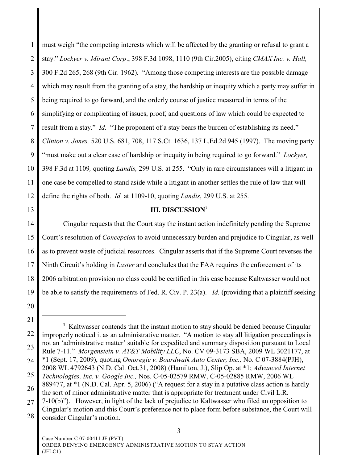1 2 3 4 5 6 7 8 9 10 11 12 must weigh "the competing interests which will be affected by the granting or refusal to grant a stay." *Lockyer v. Mirant Corp*., 398 F.3d 1098, 1110 (9th Cir.2005), citing *CMAX Inc. v. Hall,* 300 F.2d 265, 268 (9th Cir. 1962). "Among those competing interests are the possible damage which may result from the granting of a stay, the hardship or inequity which a party may suffer in being required to go forward, and the orderly course of justice measured in terms of the simplifying or complicating of issues, proof, and questions of law which could be expected to result from a stay." *Id.* "The proponent of a stay bears the burden of establishing its need." *Clinton v. Jones,* 520 U.S. 681, 708, 117 S.Ct. 1636, 137 L.Ed.2d 945 (1997). The moving party "must make out a clear case of hardship or inequity in being required to go forward." *Lockyer,* 398 F.3d at 1109*,* quoting *Landis,* 299 U.S. at 255. "Only in rare circumstances will a litigant in one case be compelled to stand aside while a litigant in another settles the rule of law that will define the rights of both. *Id.* at 1109-10, quoting *Landis*, 299 U.S. at 255.

13

## **III. DISCUSSION**<sup>3</sup>

14 15 16 17 18 19 Cingular requests that the Court stay the instant action indefinitely pending the Supreme Court's resolution of *Concepcion* to avoid unnecessary burden and prejudice to Cingular, as well as to prevent waste of judicial resources. Cingular asserts that if the Supreme Court reverses the Ninth Circuit's holding in *Laster* and concludes that the FAA requires the enforcement of its 2006 arbitration provision no class could be certified in this case because Kaltwasser would not be able to satisfy the requirements of Fed. R. Civ. P. 23(a). *Id.* (providing that a plaintiff seeking

<sup>22</sup> 23 24 25 <sup>3</sup> Kaltwasser contends that the instant motion to stay should be denied because Cingular improperly noticed it as an administrative matter. "A motion to stay all litigation proceedings is not an 'administrative matter' suitable for expedited and summary disposition pursuant to Local Rule 7-11." *Morgenstein v. AT&T Mobility LLC*, No. CV 09-3173 SBA, 2009 WL 3021177, at \*1 (Sept. 17, 2009), quoting *Omoregie v. Boardwalk Auto Center, Inc.,* No. C 07-3884(PJH), 2008 WL 4792643 (N.D. Cal. Oct.31, 2008) (Hamilton, J.), Slip Op. at \*1; *Advanced Internet Technologies, Inc. v. Google Inc.,* Nos. C-05-02579 RMW, C-05-02885 RMW, 2006 WL 889477, at \*1 (N.D. Cal. Apr. 5, 2006) ("A request for a stay in a putative class action is hardly

<sup>26</sup> the sort of minor administrative matter that is appropriate for treatment under Civil L.R.

<sup>27</sup> 28 7-10(b)"). However, in light of the lack of prejudice to Kaltwasser who filed an opposition to Cingular's motion and this Court's preference not to place form before substance, the Court will consider Cingular's motion.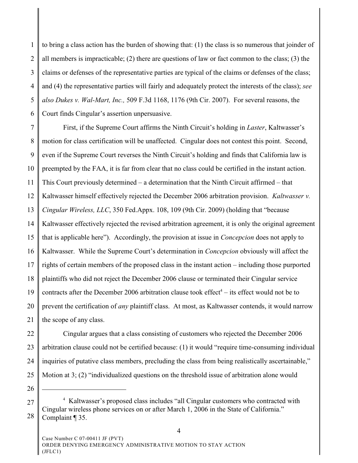1 2 3 4 5 6 to bring a class action has the burden of showing that: (1) the class is so numerous that joinder of all members is impracticable; (2) there are questions of law or fact common to the class; (3) the claims or defenses of the representative parties are typical of the claims or defenses of the class; and (4) the representative parties will fairly and adequately protect the interests of the class); *see also Dukes v. Wal-Mart, Inc.,* 509 F.3d 1168, 1176 (9th Cir. 2007). For several reasons, the Court finds Cingular's assertion unpersuasive.

7 8 9 10 11 12 13 14 15 16 17 18 19 20 21 First, if the Supreme Court affirms the Ninth Circuit's holding in *Laster*, Kaltwasser's motion for class certification will be unaffected. Cingular does not contest this point. Second, even if the Supreme Court reverses the Ninth Circuit's holding and finds that California law is preempted by the FAA, it is far from clear that no class could be certified in the instant action. This Court previously determined – a determination that the Ninth Circuit affirmed – that Kaltwasser himself effectively rejected the December 2006 arbitration provision. *Kaltwasser v. Cingular Wireless, LLC*, 350 Fed.Appx. 108, 109 (9th Cir. 2009) (holding that "because Kaltwasser effectively rejected the revised arbitration agreement, it is only the original agreement that is applicable here"). Accordingly, the provision at issue in *Concepcion* does not apply to Kaltwasser. While the Supreme Court's determination in *Concepcion* obviously will affect the rights of certain members of the proposed class in the instant action – including those purported plaintiffs who did not reject the December 2006 clause or terminated their Cingular service contracts after the December 2006 arbitration clause took effect<sup>4</sup> – its effect would not be to prevent the certification of *any* plaintiff class. At most, as Kaltwasser contends, it would narrow the scope of any class.

22 23 24 25 Cingular argues that a class consisting of customers who rejected the December 2006 arbitration clause could not be certified because: (1) it would "require time-consuming individual inquiries of putative class members, precluding the class from being realistically ascertainable," Motion at 3; (2) "individualized questions on the threshold issue of arbitration alone would

26 27

<sup>&</sup>lt;sup>4</sup> Kaltwasser's proposed class includes "all Cingular customers who contracted with Cingular wireless phone services on or after March 1, 2006 in the State of California." Complaint ¶ 35.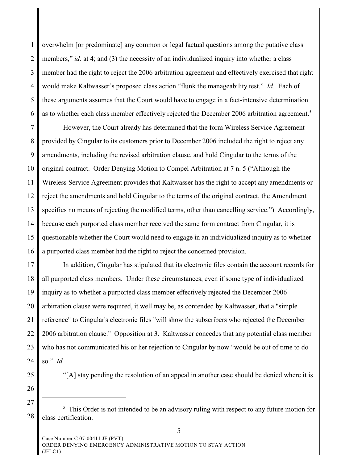1 2 3 4 5 6 overwhelm [or predominate] any common or legal factual questions among the putative class members," *id.* at 4; and (3) the necessity of an individualized inquiry into whether a class member had the right to reject the 2006 arbitration agreement and effectively exercised that right would make Kaltwasser's proposed class action "flunk the manageability test." *Id.* Each of these arguments assumes that the Court would have to engage in a fact-intensive determination as to whether each class member effectively rejected the December 2006 arbitration agreement.<sup>5</sup>

7 8 9 10 11 12 13 14 15 16 However, the Court already has determined that the form Wireless Service Agreement provided by Cingular to its customers prior to December 2006 included the right to reject any amendments, including the revised arbitration clause, and hold Cingular to the terms of the original contract. Order Denying Motion to Compel Arbitration at 7 n. 5 ("Although the Wireless Service Agreement provides that Kaltwasser has the right to accept any amendments or reject the amendments and hold Cingular to the terms of the original contract, the Amendment specifies no means of rejecting the modified terms, other than cancelling service.") Accordingly, because each purported class member received the same form contract from Cingular, it is questionable whether the Court would need to engage in an individualized inquiry as to whether a purported class member had the right to reject the concerned provision.

17 18 19 20 21 22 23 24 In addition, Cingular has stipulated that its electronic files contain the account records for all purported class members. Under these circumstances, even if some type of individualized inquiry as to whether a purported class member effectively rejected the December 2006 arbitration clause were required, it well may be, as contended by Kaltwasser, that a "simple reference" to Cingular's electronic files "will show the subscribers who rejected the December 2006 arbitration clause." Opposition at 3. Kaltwasser concedes that any potential class member who has not communicated his or her rejection to Cingular by now "would be out of time to do so." *Id.* 

25

"[A] stay pending the resolution of an appeal in another case should be denied where it is

<sup>28</sup> <sup>5</sup> This Order is not intended to be an advisory ruling with respect to any future motion for class certification.